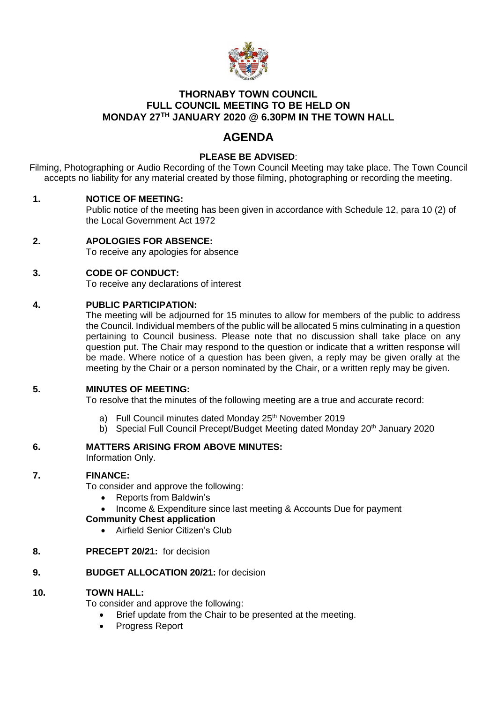

# **THORNABY TOWN COUNCIL FULL COUNCIL MEETING TO BE HELD ON MONDAY 27TH JANUARY 2020 @ 6.30PM IN THE TOWN HALL**

# **AGENDA**

# **PLEASE BE ADVISED**:

Filming, Photographing or Audio Recording of the Town Council Meeting may take place. The Town Council accepts no liability for any material created by those filming, photographing or recording the meeting.

## **1. NOTICE OF MEETING:**

Public notice of the meeting has been given in accordance with Schedule 12, para 10 (2) of the Local Government Act 1972

**2. APOLOGIES FOR ABSENCE:** To receive any apologies for absence

# **3. CODE OF CONDUCT:**

To receive any declarations of interest

## **4. PUBLIC PARTICIPATION:**

The meeting will be adjourned for 15 minutes to allow for members of the public to address the Council. Individual members of the public will be allocated 5 mins culminating in a question pertaining to Council business. Please note that no discussion shall take place on any question put. The Chair may respond to the question or indicate that a written response will be made. Where notice of a question has been given, a reply may be given orally at the meeting by the Chair or a person nominated by the Chair, or a written reply may be given.

## **5. MINUTES OF MEETING:**

To resolve that the minutes of the following meeting are a true and accurate record:

- a) Full Council minutes dated Monday 25<sup>th</sup> November 2019
- b) Special Full Council Precept/Budget Meeting dated Monday 20<sup>th</sup> January 2020

## **6. MATTERS ARISING FROM ABOVE MINUTES:**

Information Only.

## **7. FINANCE:**

To consider and approve the following:

- Reports from Baldwin's
- Income & Expenditure since last meeting & Accounts Due for payment

## **Community Chest application**

Airfield Senior Citizen's Club

## **8. PRECEPT 20/21:** for decision

#### **9. BUDGET ALLOCATION 20/21:** for decision

## **10. TOWN HALL:**

To consider and approve the following:

- Brief update from the Chair to be presented at the meeting.
- Progress Report